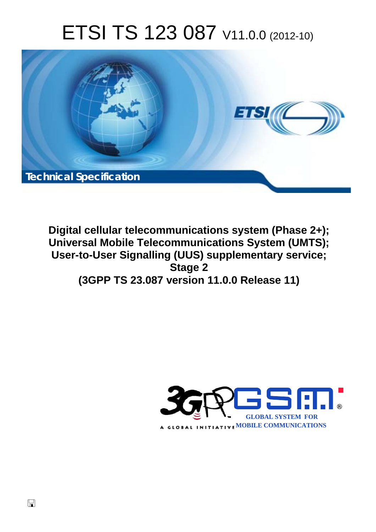# ETSI TS 123 087 V11.0.0 (2012-10)



**Digital cellular telecommunications system (Phase 2+); Universal Mobile Telecommunications System (UMTS); User-to-User Signalling (UUS) supplementary service; Stage 2 (3GPP TS 23.087 version 11.0.0 Release 11)** 

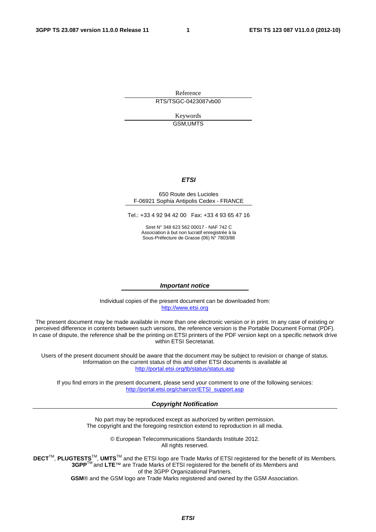Reference RTS/TSGC-0423087vb00

> Keywords GSM,UMTS

#### *ETSI*

#### 650 Route des Lucioles F-06921 Sophia Antipolis Cedex - FRANCE

Tel.: +33 4 92 94 42 00 Fax: +33 4 93 65 47 16

Siret N° 348 623 562 00017 - NAF 742 C Association à but non lucratif enregistrée à la Sous-Préfecture de Grasse (06) N° 7803/88

#### *Important notice*

Individual copies of the present document can be downloaded from: [http://www.etsi.org](http://www.etsi.org/)

The present document may be made available in more than one electronic version or in print. In any case of existing or perceived difference in contents between such versions, the reference version is the Portable Document Format (PDF). In case of dispute, the reference shall be the printing on ETSI printers of the PDF version kept on a specific network drive within ETSI Secretariat.

Users of the present document should be aware that the document may be subject to revision or change of status. Information on the current status of this and other ETSI documents is available at <http://portal.etsi.org/tb/status/status.asp>

If you find errors in the present document, please send your comment to one of the following services: [http://portal.etsi.org/chaircor/ETSI\\_support.asp](http://portal.etsi.org/chaircor/ETSI_support.asp)

#### *Copyright Notification*

No part may be reproduced except as authorized by written permission. The copyright and the foregoing restriction extend to reproduction in all media.

> © European Telecommunications Standards Institute 2012. All rights reserved.

DECT<sup>™</sup>, PLUGTESTS<sup>™</sup>, UMTS<sup>™</sup> and the ETSI logo are Trade Marks of ETSI registered for the benefit of its Members. **3GPP**TM and **LTE**™ are Trade Marks of ETSI registered for the benefit of its Members and of the 3GPP Organizational Partners.

**GSM**® and the GSM logo are Trade Marks registered and owned by the GSM Association.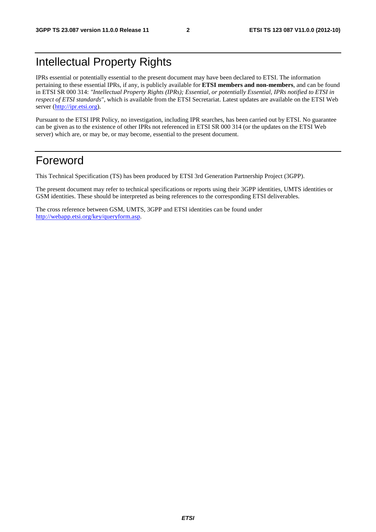## Intellectual Property Rights

IPRs essential or potentially essential to the present document may have been declared to ETSI. The information pertaining to these essential IPRs, if any, is publicly available for **ETSI members and non-members**, and can be found in ETSI SR 000 314: *"Intellectual Property Rights (IPRs); Essential, or potentially Essential, IPRs notified to ETSI in respect of ETSI standards"*, which is available from the ETSI Secretariat. Latest updates are available on the ETSI Web server ([http://ipr.etsi.org\)](http://webapp.etsi.org/IPR/home.asp).

Pursuant to the ETSI IPR Policy, no investigation, including IPR searches, has been carried out by ETSI. No guarantee can be given as to the existence of other IPRs not referenced in ETSI SR 000 314 (or the updates on the ETSI Web server) which are, or may be, or may become, essential to the present document.

## Foreword

This Technical Specification (TS) has been produced by ETSI 3rd Generation Partnership Project (3GPP).

The present document may refer to technical specifications or reports using their 3GPP identities, UMTS identities or GSM identities. These should be interpreted as being references to the corresponding ETSI deliverables.

The cross reference between GSM, UMTS, 3GPP and ETSI identities can be found under [http://webapp.etsi.org/key/queryform.asp.](http://webapp.etsi.org/key/queryform.asp)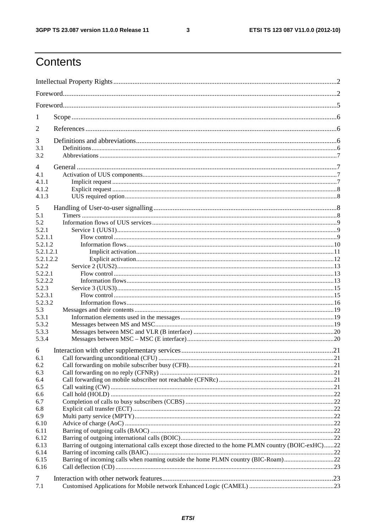$\mathbf{3}$ 

## Contents

| 1            |                                                                                                      |  |
|--------------|------------------------------------------------------------------------------------------------------|--|
| 2            |                                                                                                      |  |
| 3            |                                                                                                      |  |
| 3.1<br>3.2   |                                                                                                      |  |
|              |                                                                                                      |  |
| 4<br>4.1     |                                                                                                      |  |
| 4.1.1        |                                                                                                      |  |
| 4.1.2        |                                                                                                      |  |
| 4.1.3        |                                                                                                      |  |
| 5            |                                                                                                      |  |
| 5.1          |                                                                                                      |  |
| 5.2          |                                                                                                      |  |
| 5.2.1        |                                                                                                      |  |
| 5.2.1.1      |                                                                                                      |  |
| 5.2.1.2      |                                                                                                      |  |
| 5.2.1.2.1    |                                                                                                      |  |
| 5.2.1.2.2    |                                                                                                      |  |
| 5.2.2        |                                                                                                      |  |
| 5.2.2.1      |                                                                                                      |  |
| 5.2.2.2      |                                                                                                      |  |
| 5.2.3        |                                                                                                      |  |
| 5.2.3.1      |                                                                                                      |  |
| 5.2.3.2      |                                                                                                      |  |
| 5.3<br>5.3.1 |                                                                                                      |  |
| 5.3.2        |                                                                                                      |  |
| 5.3.3        |                                                                                                      |  |
| 5.3.4        |                                                                                                      |  |
|              |                                                                                                      |  |
| 6            |                                                                                                      |  |
| 6.1          |                                                                                                      |  |
| 6.2<br>6.3   |                                                                                                      |  |
| 6.4          |                                                                                                      |  |
| 6.5          |                                                                                                      |  |
| 6.6          |                                                                                                      |  |
| 6.7          |                                                                                                      |  |
| 6.8          |                                                                                                      |  |
| 6.9          |                                                                                                      |  |
| 6.10         |                                                                                                      |  |
| 6.11         |                                                                                                      |  |
| 6.12         |                                                                                                      |  |
| 6.13         | Barring of outgoing international calls except those directed to the home PLMN country (BOIC-exHC)22 |  |
| 6.14         |                                                                                                      |  |
| 6.15         | Barring of incoming calls when roaming outside the home PLMN country (BIC-Roam)22                    |  |
| 6.16         |                                                                                                      |  |
| 7            |                                                                                                      |  |
| 7.1          |                                                                                                      |  |
|              |                                                                                                      |  |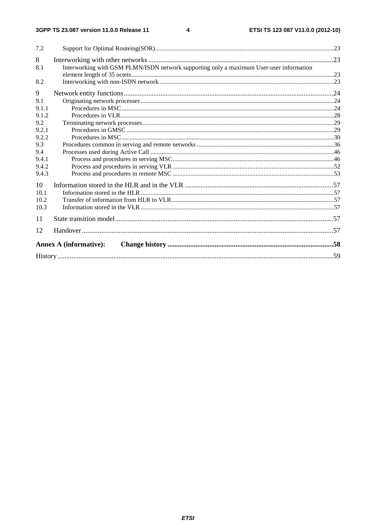#### 3GPP TS 23.087 version 11.0.0 Release 11

#### $\overline{\mathbf{4}}$

| 7.2   |                                                                                         |  |  |  |  |
|-------|-----------------------------------------------------------------------------------------|--|--|--|--|
| 8     |                                                                                         |  |  |  |  |
| 8.1   | Interworking with GSM PLMN/ISDN network supporting only a maximum User-user information |  |  |  |  |
|       |                                                                                         |  |  |  |  |
| 8.2   |                                                                                         |  |  |  |  |
| 9     |                                                                                         |  |  |  |  |
| 9.1   |                                                                                         |  |  |  |  |
| 9.1.1 |                                                                                         |  |  |  |  |
| 9.1.2 |                                                                                         |  |  |  |  |
| 9.2   |                                                                                         |  |  |  |  |
| 9.2.1 |                                                                                         |  |  |  |  |
| 9.2.2 |                                                                                         |  |  |  |  |
| 9.3   |                                                                                         |  |  |  |  |
| 9.4   |                                                                                         |  |  |  |  |
| 9.4.1 |                                                                                         |  |  |  |  |
| 9.4.2 |                                                                                         |  |  |  |  |
| 9.4.3 |                                                                                         |  |  |  |  |
| 10    |                                                                                         |  |  |  |  |
| 10.1  |                                                                                         |  |  |  |  |
| 10.2  |                                                                                         |  |  |  |  |
| 10.3  |                                                                                         |  |  |  |  |
| 11    |                                                                                         |  |  |  |  |
| 12    |                                                                                         |  |  |  |  |
|       | <b>Annex A (informative):</b>                                                           |  |  |  |  |
|       |                                                                                         |  |  |  |  |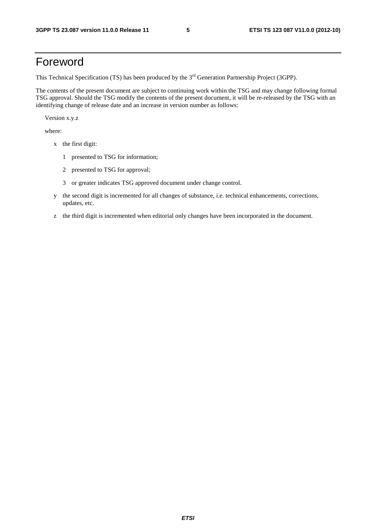## Foreword

This Technical Specification (TS) has been produced by the 3<sup>rd</sup> Generation Partnership Project (3GPP).

The contents of the present document are subject to continuing work within the TSG and may change following formal TSG approval. Should the TSG modify the contents of the present document, it will be re-released by the TSG with an identifying change of release date and an increase in version number as follows:

Version x.y.z

where:

- x the first digit:
	- 1 presented to TSG for information;
	- 2 presented to TSG for approval;
	- 3 or greater indicates TSG approved document under change control.
- y the second digit is incremented for all changes of substance, i.e. technical enhancements, corrections, updates, etc.
- z the third digit is incremented when editorial only changes have been incorporated in the document.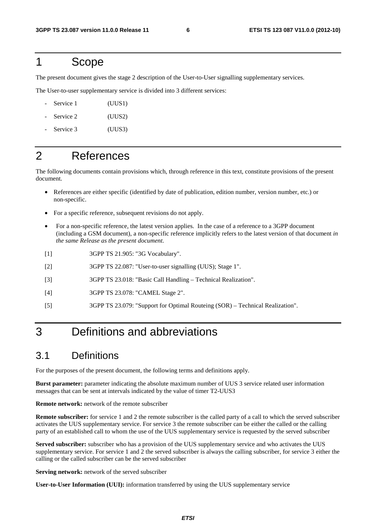#### 1 Scope

The present document gives the stage 2 description of the User-to-User signalling supplementary services.

The User-to-user supplementary service is divided into 3 different services:

- Service 1 (UUS1)
- Service 2 (UUS2)
- Service 3 (UUS3)

### 2 References

The following documents contain provisions which, through reference in this text, constitute provisions of the present document.

- References are either specific (identified by date of publication, edition number, version number, etc.) or non-specific.
- For a specific reference, subsequent revisions do not apply.
- For a non-specific reference, the latest version applies. In the case of a reference to a 3GPP document (including a GSM document), a non-specific reference implicitly refers to the latest version of that document *in the same Release as the present document*.
- [1] 3GPP TS 21.905: "3G Vocabulary".
- [2] 3GPP TS 22.087: "User-to-user signalling (UUS); Stage 1".
- [3] 3GPP TS 23.018: "Basic Call Handling Technical Realization".
- [4] 3GPP TS 23.078: "CAMEL Stage 2".
- [5] 3GPP TS 23.079: "Support for Optimal Routeing (SOR) Technical Realization".

## 3 Definitions and abbreviations

#### 3.1 Definitions

For the purposes of the present document, the following terms and definitions apply.

**Burst parameter:** parameter indicating the absolute maximum number of UUS 3 service related user information messages that can be sent at intervals indicated by the value of timer T2-UUS3

**Remote network:** network of the remote subscriber

**Remote subscriber:** for service 1 and 2 the remote subscriber is the called party of a call to which the served subscriber activates the UUS supplementary service. For service 3 the remote subscriber can be either the called or the calling party of an established call to whom the use of the UUS supplementary service is requested by the served subscriber

**Served subscriber:** subscriber who has a provision of the UUS supplementary service and who activates the UUS supplementary service. For service 1 and 2 the served subscriber is always the calling subscriber, for service 3 either the calling or the called subscriber can be the served subscriber

**Serving network:** network of the served subscriber

**User-to-User Information (UUI):** information transferred by using the UUS supplementary service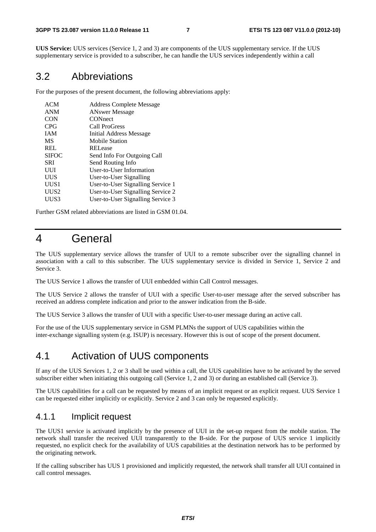#### **3GPP TS 23.087 version 11.0.0 Release 11 7 ETSI TS 123 087 V11.0.0 (2012-10)**

**UUS Service:** UUS services (Service 1, 2 and 3) are components of the UUS supplementary service. If the UUS supplementary service is provided to a subscriber, he can handle the UUS services independently within a call

### 3.2 Abbreviations

For the purposes of the present document, the following abbreviations apply:

| <b>ACM</b>       | <b>Address Complete Message</b>   |
|------------------|-----------------------------------|
| <b>ANM</b>       | <b>ANswer Message</b>             |
| <b>CON</b>       | CONnect                           |
| <b>CPG</b>       | Call ProGress                     |
| <b>IAM</b>       | Initial Address Message           |
| <b>MS</b>        | Mobile Station                    |
| <b>REL</b>       | RELease                           |
| <b>SIFOC</b>     | Send Info For Outgoing Call       |
| <b>SRI</b>       | Send Routing Info                 |
| UUI              | User-to-User Information          |
| <b>UUS</b>       | User-to-User Signalling           |
| UUS1             | User-to-User Signalling Service 1 |
| UUS <sub>2</sub> | User-to-User Signalling Service 2 |
| UUS3             | User-to-User Signalling Service 3 |
|                  |                                   |

Further GSM related abbreviations are listed in GSM 01.04.

## 4 General

The UUS supplementary service allows the transfer of UUI to a remote subscriber over the signalling channel in association with a call to this subscriber. The UUS supplementary service is divided in Service 1, Service 2 and Service 3.

The UUS Service 1 allows the transfer of UUI embedded within Call Control messages.

The UUS Service 2 allows the transfer of UUI with a specific User-to-user message after the served subscriber has received an address complete indication and prior to the answer indication from the B-side.

The UUS Service 3 allows the transfer of UUI with a specific User-to-user message during an active call.

For the use of the UUS supplementary service in GSM PLMNs the support of UUS capabilities within the inter-exchange signalling system (e.g. ISUP) is necessary. However this is out of scope of the present document.

#### 4.1 Activation of UUS components

If any of the UUS Services 1, 2 or 3 shall be used within a call, the UUS capabilities have to be activated by the served subscriber either when initiating this outgoing call (Service 1, 2 and 3) or during an established call (Service 3).

The UUS capabilities for a call can be requested by means of an implicit request or an explicit request. UUS Service 1 can be requested either implicitly or explicitly. Service 2 and 3 can only be requested explicitly.

#### 4.1.1 Implicit request

The UUS1 service is activated implicitly by the presence of UUI in the set-up request from the mobile station. The network shall transfer the received UUI transparently to the B-side. For the purpose of UUS service 1 implicitly requested, no explicit check for the availability of UUS capabilities at the destination network has to be performed by the originating network.

If the calling subscriber has UUS 1 provisioned and implicitly requested, the network shall transfer all UUI contained in call control messages.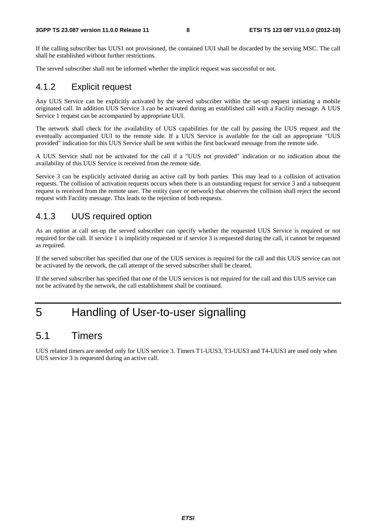If the calling subscriber has UUS1 not provisioned, the contained UUI shall be discarded by the serving MSC. The call shall be established without further restrictions.

The served subscriber shall not be informed whether the implicit request was successful or not.

#### 4.1.2 Explicit request

Any UUS Service can be explicitly activated by the served subscriber within the set-up request initiating a mobile originated call. In addition UUS Service 3 can be activated during an established call with a Facility message. A UUS Service 1 request can be accompanied by appropriate UUI.

The network shall check for the availability of UUS capabilities for the call by passing the UUS request and the eventually accompanied UUI to the remote side. If a UUS Service is available for the call an appropriate "UUS provided" indication for this UUS Service shall be sent within the first backward message from the remote side.

A UUS Service shall not be activated for the call if a "UUS not provided" indication or no indication about the availability of this UUS Service is received from the remote side.

Service 3 can be explicitly activated during an active call by both parties. This may lead to a collision of activation requests. The collision of activation requests occurs when there is an outstanding request for service 3 and a subsequent request is received from the remote user. The entity (user or network) that observes the collision shall reject the second request with Facility message. This leads to the rejection of both requests.

#### 4.1.3 UUS required option

As an option at call set-up the served subscriber can specify whether the requested UUS Service is required or not required for the call. If service 1 is implicitly requested or if service 3 is requested during the call, it cannot be requested as required.

If the served subscriber has specified that one of the UUS services is required for the call and this UUS service can not be activated by the network, the call attempt of the served subscriber shall be cleared.

If the served subscriber has specified that one of the UUS services is not required for the call and this UUS service can not be activated by the network, the call establishment shall be continued.

## 5 Handling of User-to-user signalling

#### 5.1 Timers

UUS related timers are needed only for UUS service 3. Timers T1-UUS3, T3-UUS3 and T4-UUS3 are used only when UUS service 3 is requested during an active call.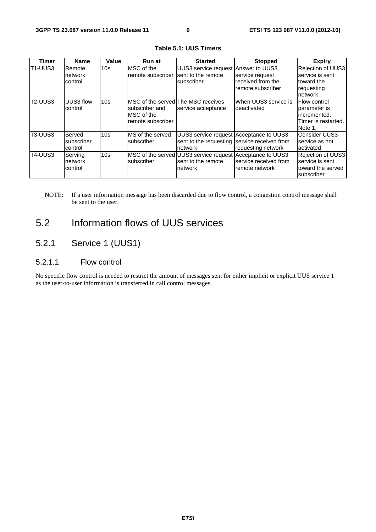| <b>Timer</b>                     | <b>Name</b>                             | Value           | Run at                                                                                    | <b>Started</b>                                                                                     | <b>Stopped</b>                                            | <b>Expiry</b>                                                                          |
|----------------------------------|-----------------------------------------|-----------------|-------------------------------------------------------------------------------------------|----------------------------------------------------------------------------------------------------|-----------------------------------------------------------|----------------------------------------------------------------------------------------|
| T <sub>1</sub> -UUS <sub>3</sub> | Remote<br>network<br>control            | 10 <sub>s</sub> | MSC of the<br>remote subscriber                                                           | UUS3 service request Answer to UUS3<br>sent to the remote<br><b>Isubscriber</b>                    | service request<br>received from the<br>remote subscriber | Rejection of UUS3<br>service is sent<br>toward the<br>requesting<br>network            |
| T2-UUS3                          | <b>UUS3 flow</b><br>control             | 10 <sub>s</sub> | IMSC of the served The MSC receives<br>Isubscriber and<br>MSC of the<br>remote subscriber | service acceptance                                                                                 | When UUS3 service is<br>deactivated                       | <b>Flow control</b><br>parameter is<br>lincremented.<br>Timer is restarted.<br>Note 1. |
| T3-UUS3                          | Served<br><b>Isubscriber</b><br>control | 10 <sub>s</sub> | <b>IMS</b> of the served<br>subscriber                                                    | UUS3 service request Acceptance to UUS3<br>sent to the requesting service received from<br>network | requesting network                                        | Consider UUS3<br>Iservice as not<br>activated                                          |
| T4-UUS3                          | Serving<br>network<br>control           | 10 <sub>s</sub> | subscriber                                                                                | MSC of the served UUS3 service request Acceptance to UUS3<br>sent to the remote<br>network         | service received from<br>remote network                   | Rejection of UUS3<br>service is sent<br>toward the served<br>subscriber                |

#### **Table 5.1: UUS Timers**

NOTE: If a user information message has been discarded due to flow control, a congestion control message shall be sent to the user.

## 5.2 Information flows of UUS services

#### 5.2.1 Service 1 (UUS1)

#### 5.2.1.1 Flow control

No specific flow control is needed to restrict the amount of messages sent for either implicit or explicit UUS service 1 as the user-to-user information is transferred in call control messages.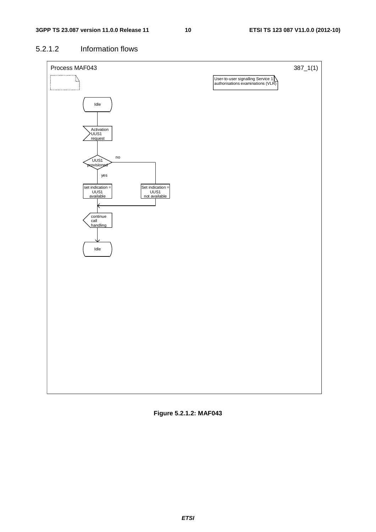#### 5.2.1.2 Information flows



**Figure 5.2.1.2: MAF043**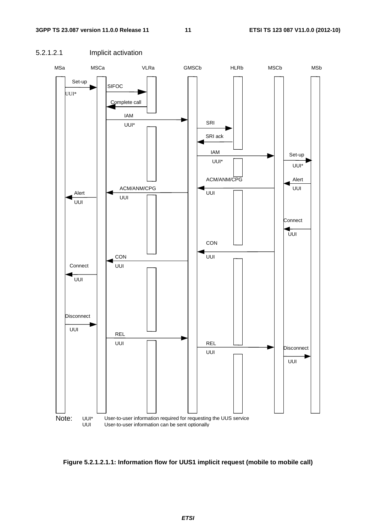

#### 5.2.1.2.1 Implicit activation

**Figure 5.2.1.2.1.1: Information flow for UUS1 implicit request (mobile to mobile call)**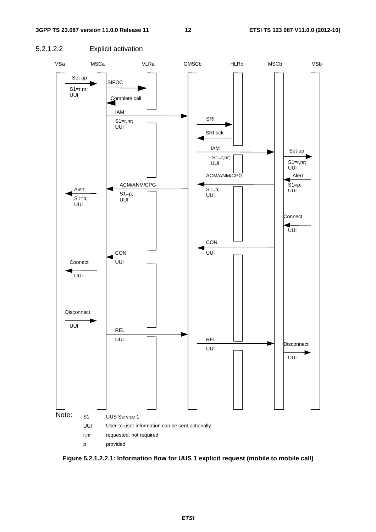

**Figure 5.2.1.2.2.1: Information flow for UUS 1 explicit request (mobile to mobile call)** 

#### 5.2.1.2.2 Explicit activation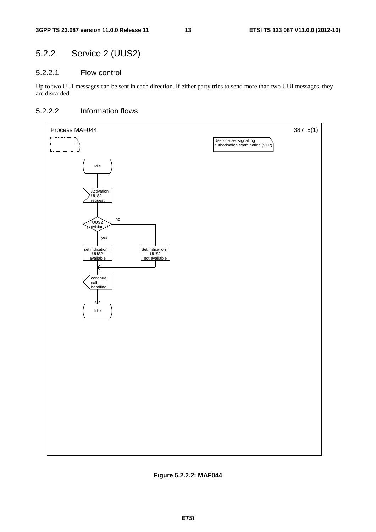## 5.2.2 Service 2 (UUS2)

#### 5.2.2.1 Flow control

Up to two UUI messages can be sent in each direction. If either party tries to send more than two UUI messages, they are discarded.

#### 5.2.2.2 Information flows



**Figure 5.2.2.2: MAF044**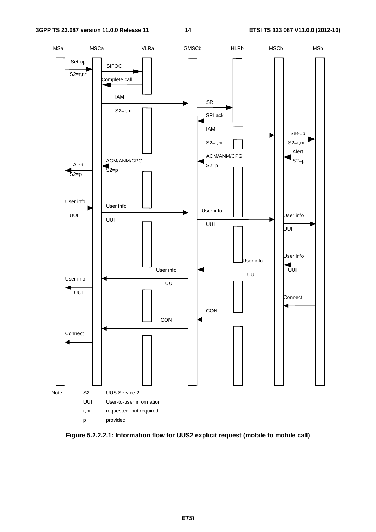

**Figure 5.2.2.2.1: Information flow for UUS2 explicit request (mobile to mobile call)**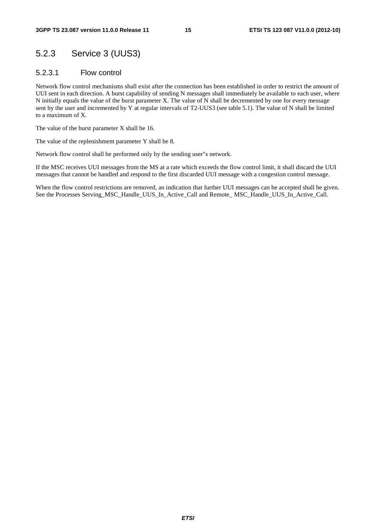#### 5.2.3 Service 3 (UUS3)

#### 5.2.3.1 Flow control

Network flow control mechanisms shall exist after the connection has been established in order to restrict the amount of UUI sent in each direction. A burst capability of sending N messages shall immediately be available to each user, where N initially equals the value of the burst parameter X. The value of N shall be decremented by one for every message sent by the user and incremented by Y at regular intervals of T2-UUS3 (see table 5.1). The value of N shall be limited to a maximum of X.

The value of the burst parameter X shall be 16.

The value of the replenishment parameter Y shall be 8.

Network flow control shall be performed only by the sending user"s network.

If the MSC receives UUI messages from the MS at a rate which exceeds the flow control limit, it shall discard the UUI messages that cannot be handled and respond to the first discarded UUI message with a congestion control message.

When the flow control restrictions are removed, an indication that further UUI messages can be accepted shall be given. See the Processes Serving\_MSC\_Handle\_UUS\_In\_Active\_Call and Remote\_ MSC\_Handle\_UUS\_In\_Active\_Call.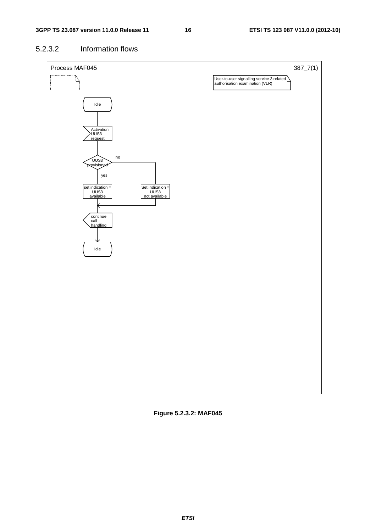#### 5.2.3.2 Information flows



**Figure 5.2.3.2: MAF045**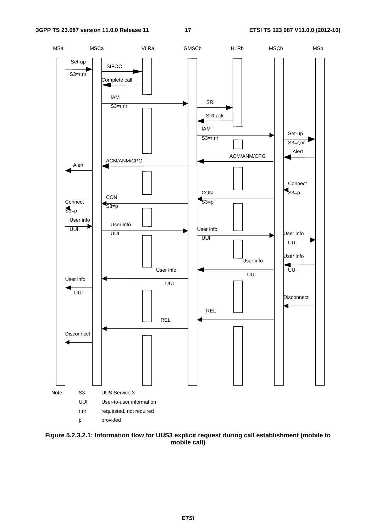

**Figure 5.2.3.2.1: Information flow for UUS3 explicit request during call establishment (mobile to mobile call)**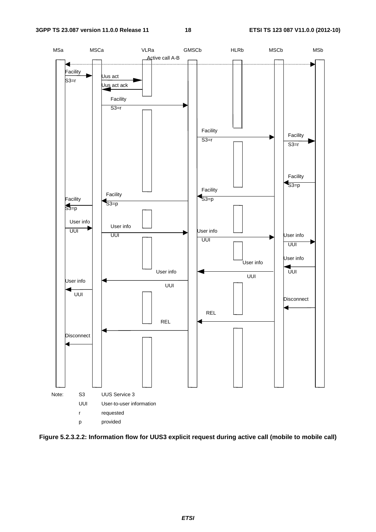

**Figure 5.2.3.2.2: Information flow for UUS3 explicit request during active call (mobile to mobile call)**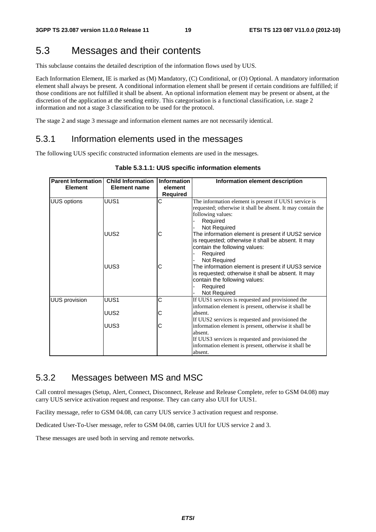### 5.3 Messages and their contents

This subclause contains the detailed description of the information flows used by UUS.

Each Information Element, IE is marked as (M) Mandatory, (C) Conditional, or (O) Optional. A mandatory information element shall always be present. A conditional information element shall be present if certain conditions are fulfilled; if those conditions are not fulfilled it shall be absent. An optional information element may be present or absent, at the discretion of the application at the sending entity. This categorisation is a functional classification, i.e. stage 2 information and not a stage 3 classification to be used for the protocol.

The stage 2 and stage 3 message and information element names are not necessarily identical.

#### 5.3.1 Information elements used in the messages

The following UUS specific constructed information elements are used in the messages.

| Parent Information<br><b>Element</b> | <b>Child Information</b><br>Element name | <b>Information</b><br>element | Information element description                             |
|--------------------------------------|------------------------------------------|-------------------------------|-------------------------------------------------------------|
|                                      |                                          | <b>Required</b>               |                                                             |
| <b>UUS options</b>                   | UUS1                                     | С                             | The information element is present if UUS1 service is       |
|                                      |                                          |                               | requested; otherwise it shall be absent. It may contain the |
|                                      |                                          |                               | following values:                                           |
|                                      |                                          |                               | Required                                                    |
|                                      |                                          |                               | Not Required                                                |
|                                      | UUS <sub>2</sub>                         | С                             | The information element is present if UUS2 service          |
|                                      |                                          |                               | is requested; otherwise it shall be absent. It may          |
|                                      |                                          |                               | contain the following values:<br>Required                   |
|                                      |                                          |                               | Not Required                                                |
|                                      | UUS3                                     | С                             | The information element is present if UUS3 service          |
|                                      |                                          |                               | is requested; otherwise it shall be absent. It may          |
|                                      |                                          |                               | contain the following values:                               |
|                                      |                                          |                               | Required                                                    |
|                                      |                                          |                               | Not Required                                                |
| <b>UUS</b> provision                 | UUS1                                     | C                             | If UUS1 services is requested and provisioned the           |
|                                      |                                          |                               | information element is present, otherwise it shall be       |
|                                      | UUS <sub>2</sub>                         | С                             | absent.                                                     |
|                                      |                                          |                               | If UUS2 services is requested and provisioned the           |
|                                      | UUS3                                     | С                             | information element is present, otherwise it shall be       |
|                                      |                                          |                               | absent.                                                     |
|                                      |                                          |                               | If UUS3 services is requested and provisioned the           |
|                                      |                                          |                               | information element is present, otherwise it shall be       |
|                                      |                                          |                               | absent.                                                     |

#### **Table 5.3.1.1: UUS specific information elements**

#### 5.3.2 Messages between MS and MSC

Call control messages (Setup, Alert, Connect, Disconnect, Release and Release Complete, refer to GSM 04.08) may carry UUS service activation request and response. They can carry also UUI for UUS1.

Facility message, refer to GSM 04.08, can carry UUS service 3 activation request and response.

Dedicated User-To-User message, refer to GSM 04.08, carries UUI for UUS service 2 and 3.

These messages are used both in serving and remote networks.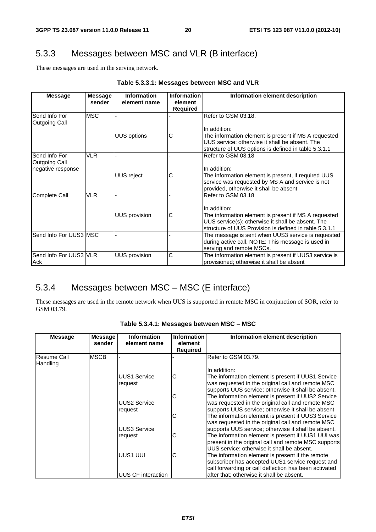#### 5.3.3 Messages between MSC and VLR (B interface)

These messages are used in the serving network.

| <b>Message</b>          | <b>Message</b> | Information          | <b>Information</b> | Information element description                        |
|-------------------------|----------------|----------------------|--------------------|--------------------------------------------------------|
|                         | sender         | element name         | element            |                                                        |
|                         |                |                      | <b>Required</b>    |                                                        |
| Send Info For           | <b>MSC</b>     |                      |                    | Refer to GSM 03.18.                                    |
| <b>Outgoing Call</b>    |                |                      |                    |                                                        |
|                         |                |                      |                    | In addition:                                           |
|                         |                | <b>UUS options</b>   | С                  | The information element is present if MS A requested   |
|                         |                |                      |                    | UUS service; otherwise it shall be absent. The         |
|                         |                |                      |                    | structure of UUS options is defined in table 5.3.1.1   |
| Send Info For           | <b>VLR</b>     |                      |                    | Refer to GSM 03.18                                     |
| Outgoing Call           |                |                      |                    |                                                        |
| negative response       |                |                      |                    | In addition:                                           |
|                         |                | <b>UUS</b> reject    | С                  | The information element is present, if required UUS    |
|                         |                |                      |                    | service was requested by MS A and service is not       |
|                         |                |                      |                    | provided, otherwise it shall be absent.                |
| <b>Complete Call</b>    | <b>VLR</b>     |                      |                    | Refer to GSM 03.18                                     |
|                         |                |                      |                    |                                                        |
|                         |                |                      |                    | In addition:                                           |
|                         |                | <b>UUS provision</b> | С                  | The information element is present if MS A requested   |
|                         |                |                      |                    | UUS service(s); otherwise it shall be absent. The      |
|                         |                |                      |                    | structure of UUS Provision is defined in table 5.3.1.1 |
| Send Info For UUS3 IMSC |                |                      |                    | The message is sent when UUS3 service is requested     |
|                         |                |                      |                    | during active call. NOTE: This message is used in      |
|                         |                |                      |                    | serving and remote MSCs.                               |
| Send Info For UUS3 VLR  |                | <b>UUS provision</b> | С                  | The information element is present if UUS3 service is  |
| Ack                     |                |                      |                    | provisioned; otherwise it shall be absent              |

#### **Table 5.3.3.1: Messages between MSC and VLR**

#### 5.3.4 Messages between MSC – MSC (E interface)

These messages are used in the remote network when UUS is supported in remote MSC in conjunction of SOR, refer to GSM 03.79.

| <b>Message</b> | <b>Message</b> | <b>Information</b>  | <b>Information</b> | Information element description                       |
|----------------|----------------|---------------------|--------------------|-------------------------------------------------------|
|                | sender         | element name        | element            |                                                       |
|                |                |                     | Required           |                                                       |
| Resume Call    | <b>MSCB</b>    |                     |                    | Refer to GSM 03.79.                                   |
| Handling       |                |                     |                    |                                                       |
|                |                |                     |                    | In addition:                                          |
|                |                | <b>UUS1 Service</b> | C                  | The information element is present if UUS1 Service    |
|                |                | request             |                    | was requested in the original call and remote MSC     |
|                |                |                     |                    | supports UUS service; otherwise it shall be absent.   |
|                |                |                     | С                  | The information element is present if UUS2 Service    |
|                |                | <b>UUS2 Service</b> |                    | was requested in the original call and remote MSC     |
|                |                | request             |                    | supports UUS service; otherwise it shall be absent    |
|                |                |                     | С                  | The information element is present if UUS3 Service    |
|                |                |                     |                    | was requested in the original call and remote MSC     |
|                |                | <b>UUS3 Service</b> |                    | supports UUS service; otherwise it shall be absent.   |
|                |                | request             | С                  | The information element is present if UUS1 UUI was    |
|                |                |                     |                    | present in the original call and remote MSC supports  |
|                |                |                     |                    | UUS service; otherwise it shall be absent.            |
|                |                | UUS1 UUI            | С                  | The information element is present if the remote      |
|                |                |                     |                    | subscriber has accepted UUS1 service request and      |
|                |                |                     |                    | call forwarding or call deflection has been activated |
|                |                | UUS CF interaction  |                    | after that; otherwise it shall be absent.             |

**Table 5.3.4.1: Messages between MSC – MSC**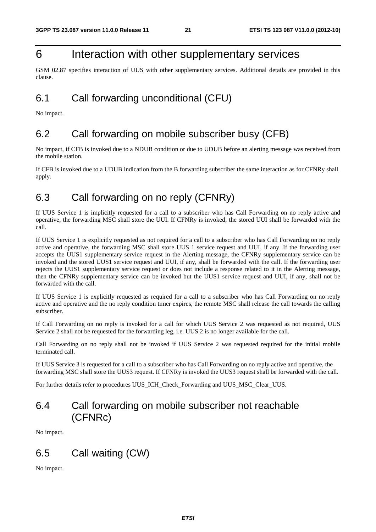## 6 Interaction with other supplementary services

GSM 02.87 specifies interaction of UUS with other supplementary services. Additional details are provided in this clause.

## 6.1 Call forwarding unconditional (CFU)

No impact.

### 6.2 Call forwarding on mobile subscriber busy (CFB)

No impact, if CFB is invoked due to a NDUB condition or due to UDUB before an alerting message was received from the mobile station.

If CFB is invoked due to a UDUB indication from the B forwarding subscriber the same interaction as for CFNRy shall apply.

### 6.3 Call forwarding on no reply (CFNRy)

If UUS Service 1 is implicitly requested for a call to a subscriber who has Call Forwarding on no reply active and operative, the forwarding MSC shall store the UUI. If CFNRy is invoked, the stored UUI shall be forwarded with the call.

If UUS Service 1 is explicitly requested as not required for a call to a subscriber who has Call Forwarding on no reply active and operative, the forwarding MSC shall store UUS 1 service request and UUI, if any. If the forwarding user accepts the UUS1 supplementary service request in the Alerting message, the CFNRy supplementary service can be invoked and the stored UUS1 service request and UUI, if any, shall be forwarded with the call. If the forwarding user rejects the UUS1 supplementary service request or does not include a response related to it in the Alerting message, then the CFNRy supplementary service can be invoked but the UUS1 service request and UUI, if any, shall not be forwarded with the call.

If UUS Service 1 is explicitly requested as required for a call to a subscriber who has Call Forwarding on no reply active and operative and the no reply condition timer expires, the remote MSC shall release the call towards the calling subscriber.

If Call Forwarding on no reply is invoked for a call for which UUS Service 2 was requested as not required, UUS Service 2 shall not be requested for the forwarding leg, i.e. UUS 2 is no longer available for the call.

Call Forwarding on no reply shall not be invoked if UUS Service 2 was requested required for the initial mobile terminated call.

If UUS Service 3 is requested for a call to a subscriber who has Call Forwarding on no reply active and operative, the forwarding MSC shall store the UUS3 request. If CFNRy is invoked the UUS3 request shall be forwarded with the call.

For further details refer to procedures UUS\_ICH\_Check\_Forwarding and UUS\_MSC\_Clear\_UUS.

### 6.4 Call forwarding on mobile subscriber not reachable (CFNRc)

No impact.

#### 6.5 Call waiting (CW)

No impact.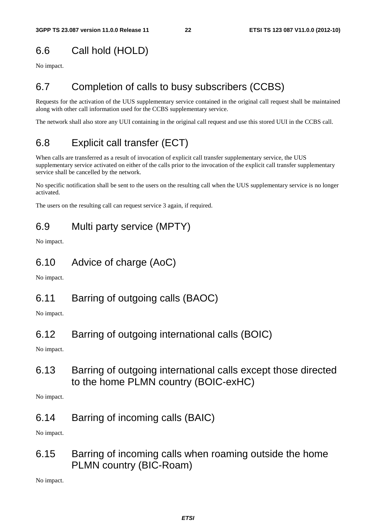## 6.6 Call hold (HOLD)

No impact.

## 6.7 Completion of calls to busy subscribers (CCBS)

Requests for the activation of the UUS supplementary service contained in the original call request shall be maintained along with other call information used for the CCBS supplementary service.

The network shall also store any UUI containing in the original call request and use this stored UUI in the CCBS call.

## 6.8 Explicit call transfer (ECT)

When calls are transferred as a result of invocation of explicit call transfer supplementary service, the UUS supplementary service activated on either of the calls prior to the invocation of the explicit call transfer supplementary service shall be cancelled by the network.

No specific notification shall be sent to the users on the resulting call when the UUS supplementary service is no longer activated.

The users on the resulting call can request service 3 again, if required.

### 6.9 Multi party service (MPTY)

No impact.

6.10 Advice of charge (AoC)

No impact.

#### 6.11 Barring of outgoing calls (BAOC)

No impact.

#### 6.12 Barring of outgoing international calls (BOIC)

No impact.

6.13 Barring of outgoing international calls except those directed to the home PLMN country (BOIC-exHC)

No impact.

6.14 Barring of incoming calls (BAIC)

No impact.

6.15 Barring of incoming calls when roaming outside the home PLMN country (BIC-Roam)

No impact.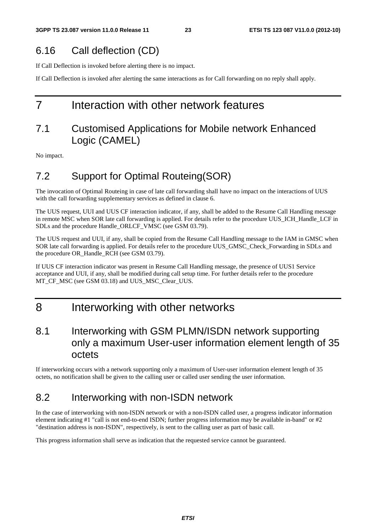## 6.16 Call deflection (CD)

If Call Deflection is invoked before alerting there is no impact.

If Call Deflection is invoked after alerting the same interactions as for Call forwarding on no reply shall apply.

## 7 Interaction with other network features

## 7.1 Customised Applications for Mobile network Enhanced Logic (CAMEL)

No impact.

## 7.2 Support for Optimal Routeing(SOR)

The invocation of Optimal Routeing in case of late call forwarding shall have no impact on the interactions of UUS with the call forwarding supplementary services as defined in clause 6.

The UUS request, UUI and UUS CF interaction indicator, if any, shall be added to the Resume Call Handling message in remote MSC when SOR late call forwarding is applied. For details refer to the procedure UUS\_ICH\_Handle\_LCF in SDLs and the procedure Handle\_ORLCF\_VMSC (see GSM 03.79).

The UUS request and UUI, if any, shall be copied from the Resume Call Handling message to the IAM in GMSC when SOR late call forwarding is applied. For details refer to the procedure UUS\_GMSC\_Check\_Forwarding in SDLs and the procedure OR\_Handle\_RCH (see GSM 03.79).

If UUS CF interaction indicator was present in Resume Call Handling message, the presence of UUS1 Service acceptance and UUI, if any, shall be modified during call setup time. For further details refer to the procedure MT\_CF\_MSC (see GSM 03.18) and UUS\_MSC\_Clear\_UUS.

## 8 Interworking with other networks

#### 8.1 Interworking with GSM PLMN/ISDN network supporting only a maximum User-user information element length of 35 octets

If interworking occurs with a network supporting only a maximum of User-user information element length of 35 octets, no notification shall be given to the calling user or called user sending the user information.

#### 8.2 Interworking with non-ISDN network

In the case of interworking with non-ISDN network or with a non-ISDN called user, a progress indicator information element indicating #1 "call is not end-to-end ISDN; further progress information may be available in-band" or #2 "destination address is non-ISDN", respectively, is sent to the calling user as part of basic call.

This progress information shall serve as indication that the requested service cannot be guaranteed.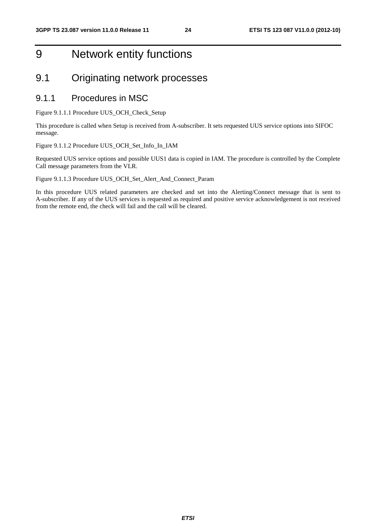## 9 Network entity functions

## 9.1 Originating network processes

#### 9.1.1 Procedures in MSC

Figure 9.1.1.1 Procedure UUS\_OCH\_Check\_Setup

This procedure is called when Setup is received from A-subscriber. It sets requested UUS service options into SIFOC message.

Figure 9.1.1.2 Procedure UUS\_OCH\_Set\_Info\_In\_IAM

Requested UUS service options and possible UUS1 data is copied in IAM. The procedure is controlled by the Complete Call message parameters from the VLR.

Figure 9.1.1.3 Procedure UUS\_OCH\_Set\_Alert\_And\_Connect\_Param

In this procedure UUS related parameters are checked and set into the Alerting/Connect message that is sent to A-subscriber. If any of the UUS services is requested as required and positive service acknowledgement is not received from the remote end, the check will fail and the call will be cleared.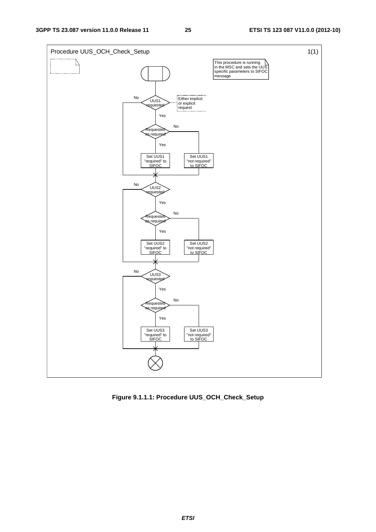

**Figure 9.1.1.1: Procedure UUS\_OCH\_Check\_Setup**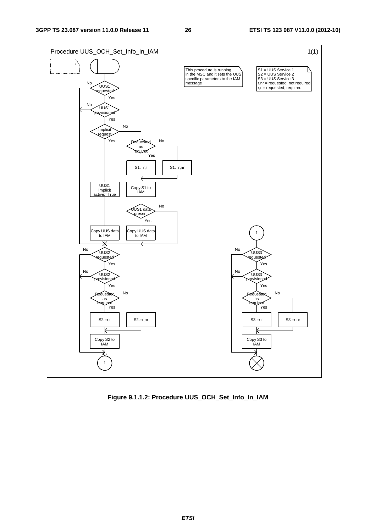

**Figure 9.1.1.2: Procedure UUS\_OCH\_Set\_Info\_In\_IAM**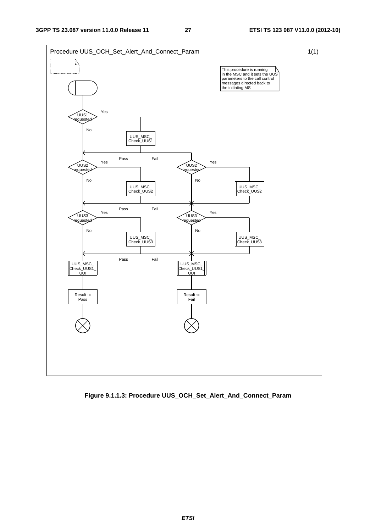

**Figure 9.1.1.3: Procedure UUS\_OCH\_Set\_Alert\_And\_Connect\_Param**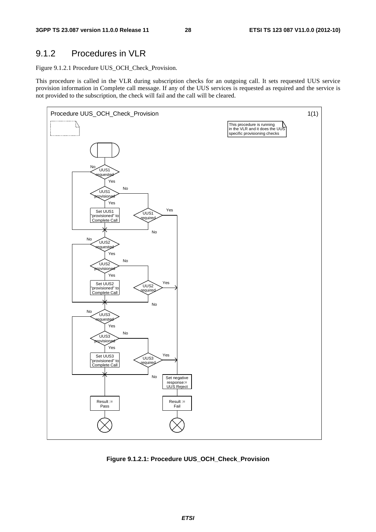#### 9.1.2 Procedures in VLR

Figure 9.1.2.1 Procedure UUS\_OCH\_Check\_Provision.

This procedure is called in the VLR during subscription checks for an outgoing call. It sets requested UUS service provision information in Complete call message. If any of the UUS services is requested as required and the service is not provided to the subscription, the check will fail and the call will be cleared.



**Figure 9.1.2.1: Procedure UUS\_OCH\_Check\_Provision**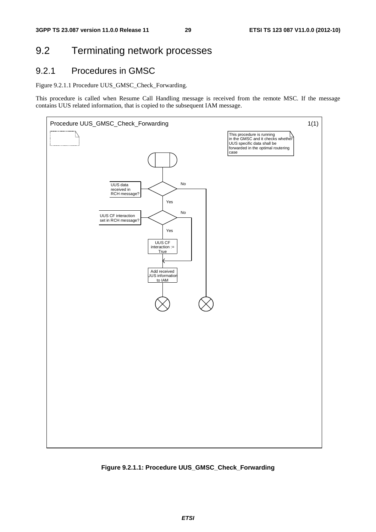## 9.2 Terminating network processes

#### 9.2.1 Procedures in GMSC

Figure 9.2.1.1 Procedure UUS\_GMSC\_Check\_Forwarding.

This procedure is called when Resume Call Handling message is received from the remote MSC. If the message contains UUS related information, that is copied to the subsequent IAM message.



**Figure 9.2.1.1: Procedure UUS\_GMSC\_Check\_Forwarding**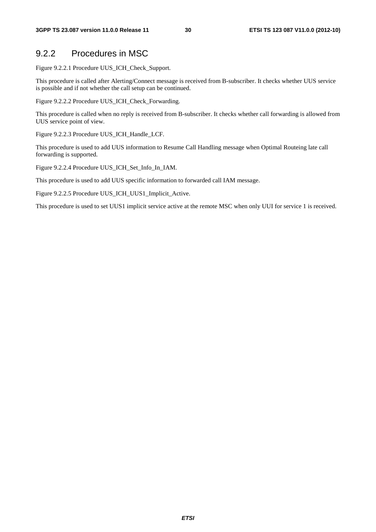#### 9.2.2 Procedures in MSC

Figure 9.2.2.1 Procedure UUS\_ICH\_Check\_Support.

This procedure is called after Alerting/Connect message is received from B-subscriber. It checks whether UUS service is possible and if not whether the call setup can be continued.

Figure 9.2.2.2 Procedure UUS\_ICH\_Check\_Forwarding.

This procedure is called when no reply is received from B-subscriber. It checks whether call forwarding is allowed from UUS service point of view.

Figure 9.2.2.3 Procedure UUS\_ICH\_Handle\_LCF.

This procedure is used to add UUS information to Resume Call Handling message when Optimal Routeing late call forwarding is supported.

Figure 9.2.2.4 Procedure UUS\_ICH\_Set\_Info\_In\_IAM.

This procedure is used to add UUS specific information to forwarded call IAM message.

Figure 9.2.2.5 Procedure UUS\_ICH\_UUS1\_Implicit\_Active.

This procedure is used to set UUS1 implicit service active at the remote MSC when only UUI for service 1 is received.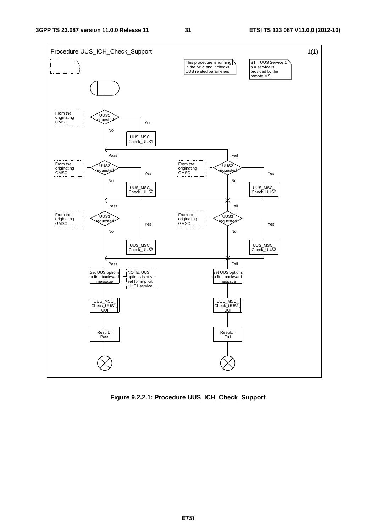

**Figure 9.2.2.1: Procedure UUS\_ICH\_Check\_Support**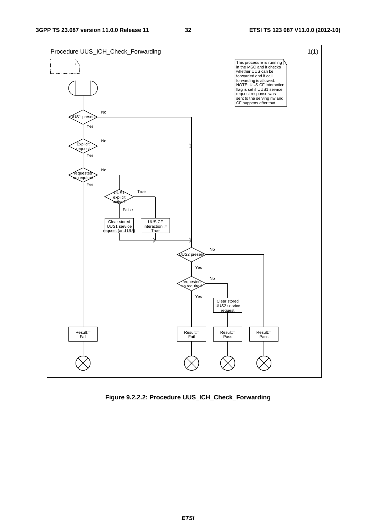

**Figure 9.2.2.2: Procedure UUS\_ICH\_Check\_Forwarding**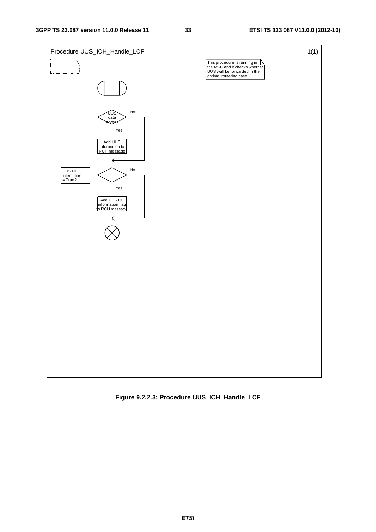

**Figure 9.2.2.3: Procedure UUS\_ICH\_Handle\_LCF**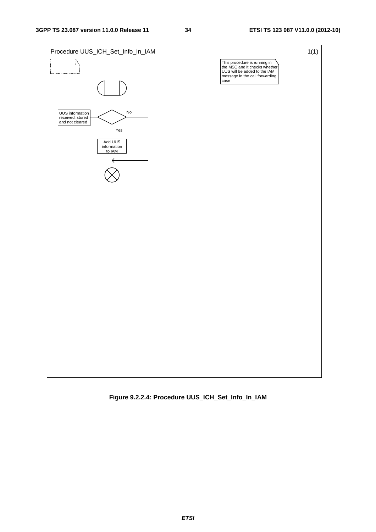

**Figure 9.2.2.4: Procedure UUS\_ICH\_Set\_Info\_In\_IAM**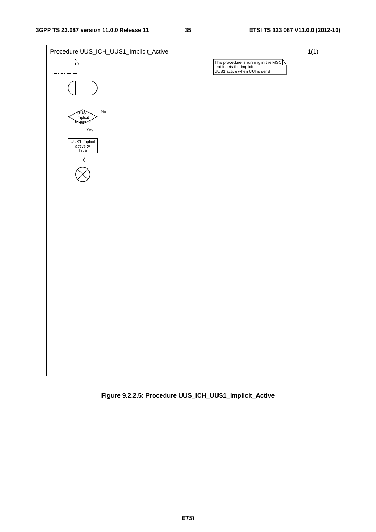

**Figure 9.2.2.5: Procedure UUS\_ICH\_UUS1\_Implicit\_Active**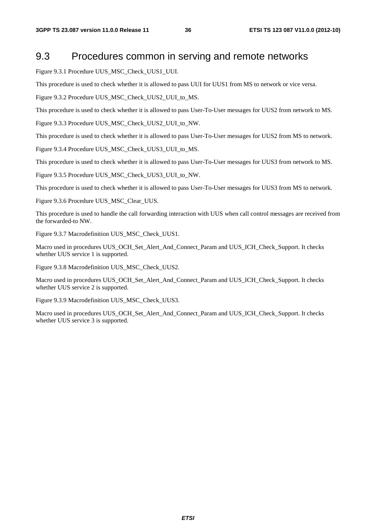#### 9.3 Procedures common in serving and remote networks

Figure 9.3.1 Procedure UUS\_MSC\_Check\_UUS1\_UUI.

This procedure is used to check whether it is allowed to pass UUI for UUS1 from MS to network or vice versa.

Figure 9.3.2 Procedure UUS\_MSC\_Check\_UUS2\_UUI\_to\_MS.

This procedure is used to check whether it is allowed to pass User-To-User messages for UUS2 from network to MS.

Figure 9.3.3 Procedure UUS\_MSC\_Check\_UUS2\_UUI\_to\_NW.

This procedure is used to check whether it is allowed to pass User-To-User messages for UUS2 from MS to network.

Figure 9.3.4 Procedure UUS\_MSC\_Check\_UUS3\_UUI\_to\_MS.

This procedure is used to check whether it is allowed to pass User-To-User messages for UUS3 from network to MS.

Figure 9.3.5 Procedure UUS\_MSC\_Check\_UUS3\_UUI\_to\_NW.

This procedure is used to check whether it is allowed to pass User-To-User messages for UUS3 from MS to network.

Figure 9.3.6 Procedure UUS\_MSC\_Clear\_UUS.

This procedure is used to handle the call forwarding interaction with UUS when call control messages are received from the forwarded-to NW.

Figure 9.3.7 Macrodefinition UUS\_MSC\_Check\_UUS1.

Macro used in procedures UUS\_OCH\_Set\_Alert\_And\_Connect\_Param and UUS\_ICH\_Check\_Support. It checks whether UUS service 1 is supported.

Figure 9.3.8 Macrodefinition UUS\_MSC\_Check\_UUS2.

Macro used in procedures UUS\_OCH\_Set\_Alert\_And\_Connect\_Param and UUS\_ICH\_Check\_Support. It checks whether UUS service 2 is supported.

Figure 9.3.9 Macrodefinition UUS\_MSC\_Check\_UUS3.

Macro used in procedures UUS\_OCH\_Set\_Alert\_And\_Connect\_Param and UUS\_ICH\_Check\_Support. It checks whether UUS service 3 is supported.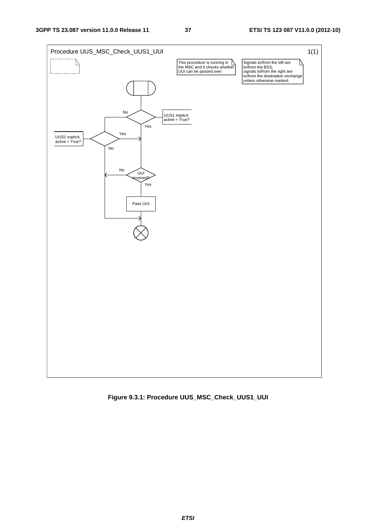

**Figure 9.3.1: Procedure UUS\_MSC\_Check\_UUS1\_UUI**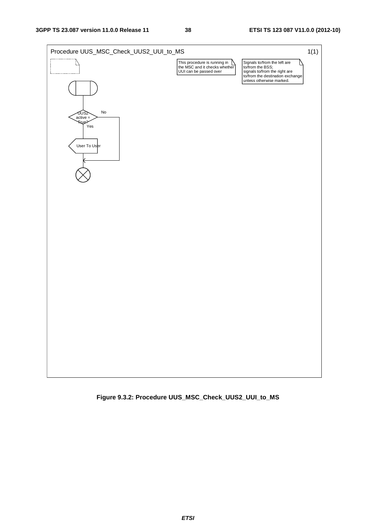

**Figure 9.3.2: Procedure UUS\_MSC\_Check\_UUS2\_UUI\_to\_MS**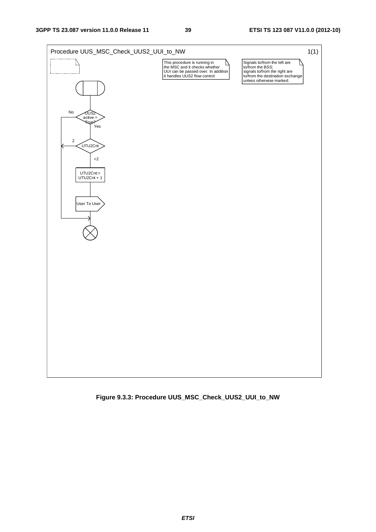

#### **Figure 9.3.3: Procedure UUS\_MSC\_Check\_UUS2\_UUI\_to\_NW**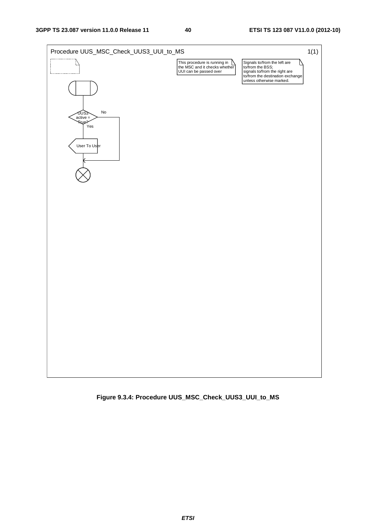

**Figure 9.3.4: Procedure UUS\_MSC\_Check\_UUS3\_UUI\_to\_MS**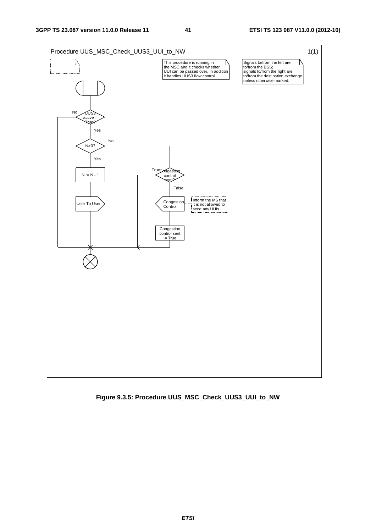

**Figure 9.3.5: Procedure UUS\_MSC\_Check\_UUS3\_UUI\_to\_NW**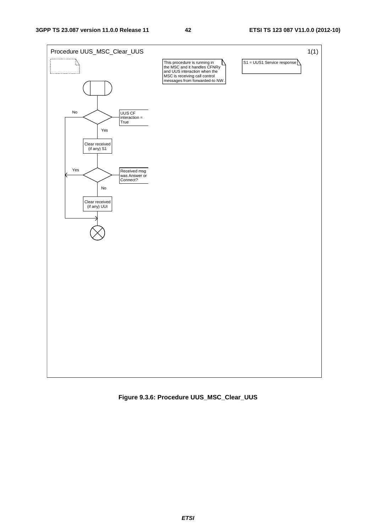

#### **Figure 9.3.6: Procedure UUS\_MSC\_Clear\_UUS**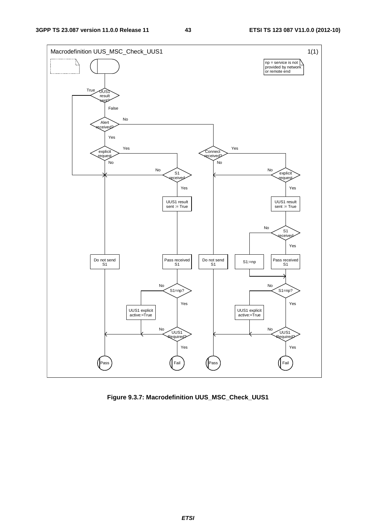

**Figure 9.3.7: Macrodefinition UUS\_MSC\_Check\_UUS1**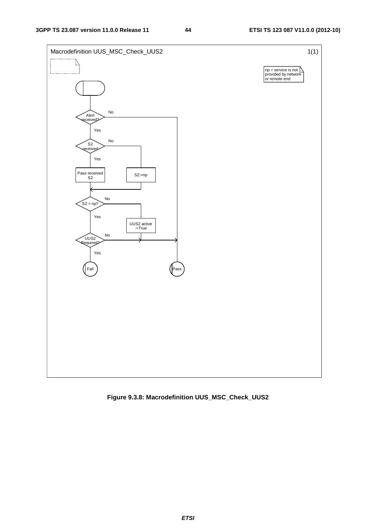

**Figure 9.3.8: Macrodefinition UUS\_MSC\_Check\_UUS2**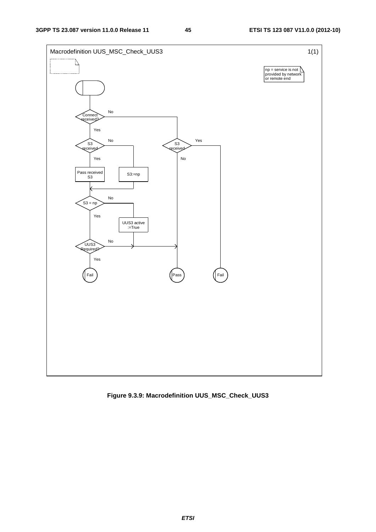

**Figure 9.3.9: Macrodefinition UUS\_MSC\_Check\_UUS3**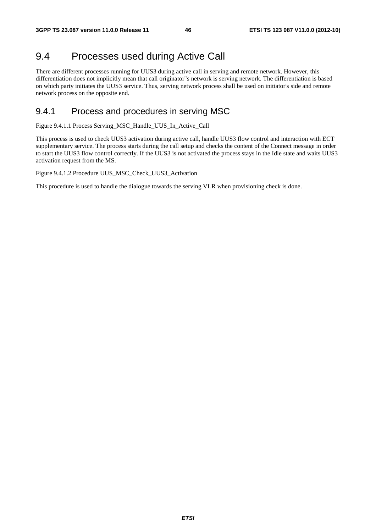#### 9.4 Processes used during Active Call

There are different processes running for UUS3 during active call in serving and remote network. However, this differentiation does not implicitly mean that call originator"s network is serving network. The differentiation is based on which party initiates the UUS3 service. Thus, serving network process shall be used on initiator's side and remote network process on the opposite end.

#### 9.4.1 Process and procedures in serving MSC

Figure 9.4.1.1 Process Serving\_MSC\_Handle\_UUS\_In\_Active\_Call

This process is used to check UUS3 activation during active call, handle UUS3 flow control and interaction with ECT supplementary service. The process starts during the call setup and checks the content of the Connect message in order to start the UUS3 flow control correctly. If the UUS3 is not activated the process stays in the Idle state and waits UUS3 activation request from the MS.

Figure 9.4.1.2 Procedure UUS\_MSC\_Check\_UUS3\_Activation

This procedure is used to handle the dialogue towards the serving VLR when provisioning check is done.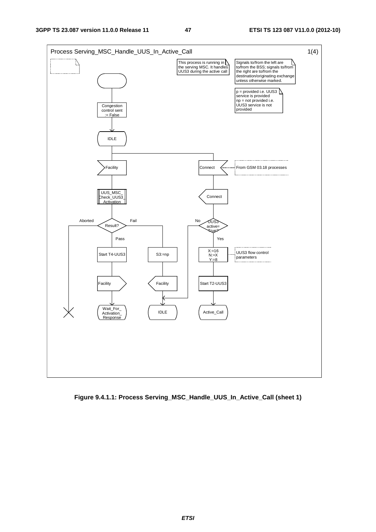

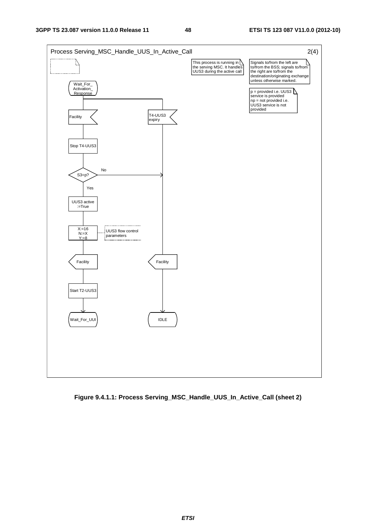

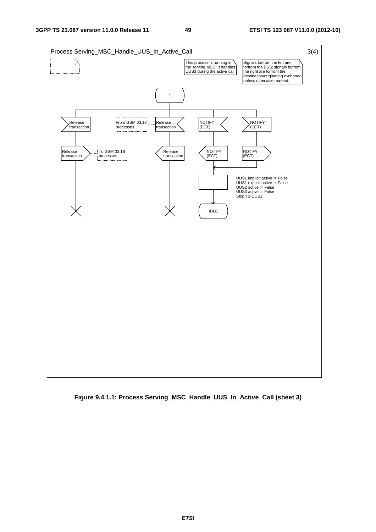

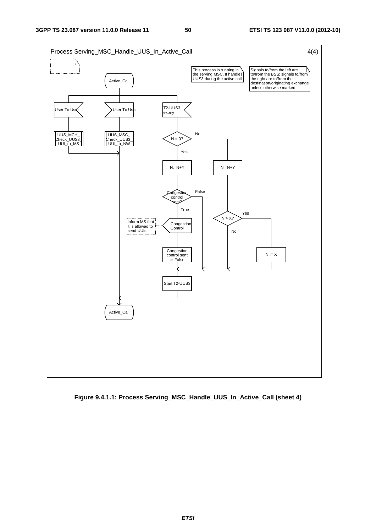

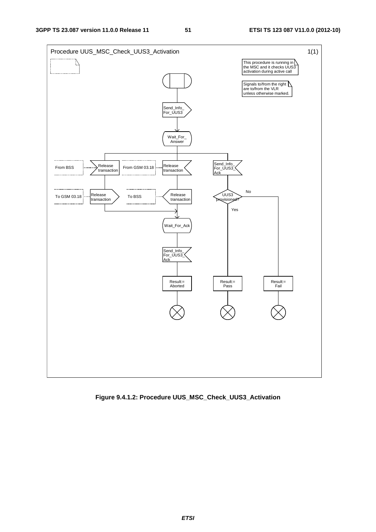

**Figure 9.4.1.2: Procedure UUS\_MSC\_Check\_UUS3\_Activation**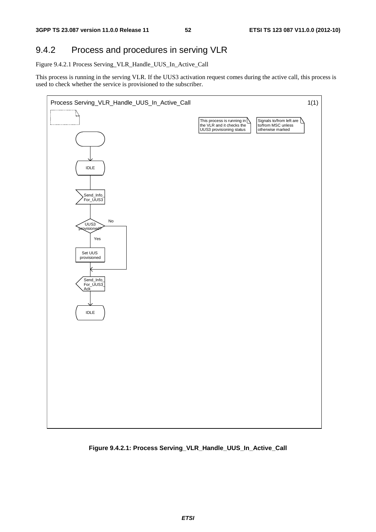#### 9.4.2 Process and procedures in serving VLR

Figure 9.4.2.1 Process Serving\_VLR\_Handle\_UUS\_In\_Active\_Call

This process is running in the serving VLR. If the UUS3 activation request comes during the active call, this process is used to check whether the service is provisioned to the subscriber.



**Figure 9.4.2.1: Process Serving\_VLR\_Handle\_UUS\_In\_Active\_Call**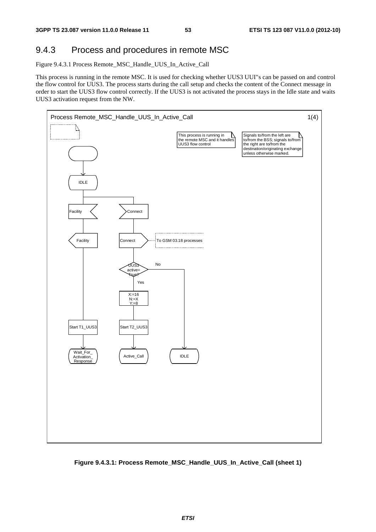#### 9.4.3 Process and procedures in remote MSC

Figure 9.4.3.1 Process Remote\_MSC\_Handle\_UUS\_In\_Active\_Call

This process is running in the remote MSC. It is used for checking whether UUS3 UUI"s can be passed on and control the flow control for UUS3. The process starts during the call setup and checks the content of the Connect message in order to start the UUS3 flow control correctly. If the UUS3 is not activated the process stays in the Idle state and waits UUS3 activation request from the NW.



**Figure 9.4.3.1: Process Remote\_MSC\_Handle\_UUS\_In\_Active\_Call (sheet 1)**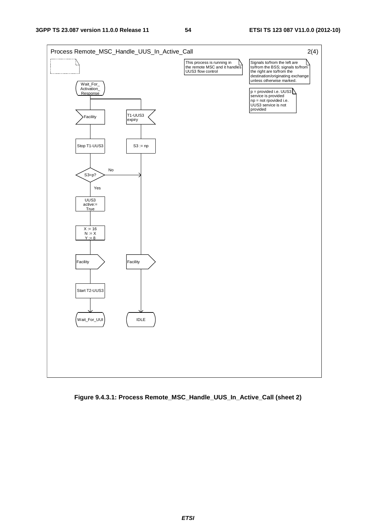

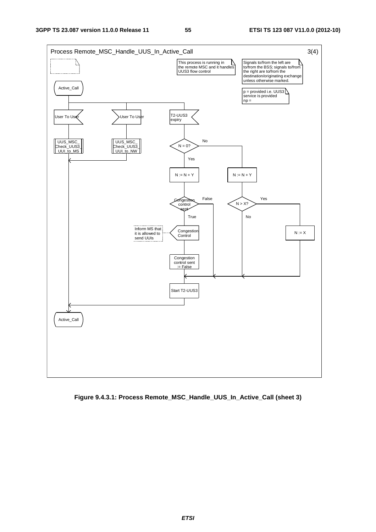

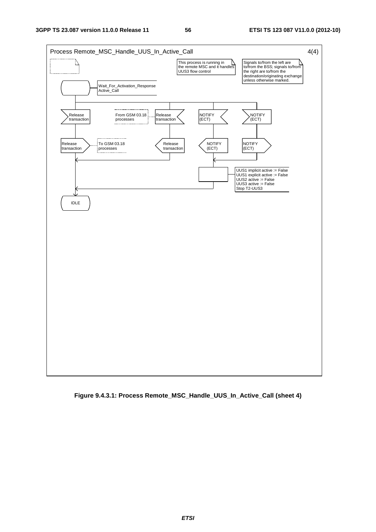

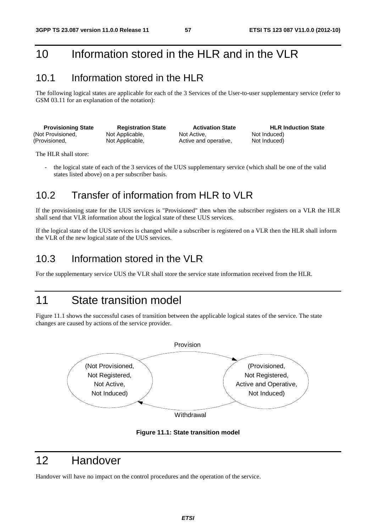## 10 Information stored in the HLR and in the VLR

## 10.1 Information stored in the HLR

The following logical states are applicable for each of the 3 Services of the User-to-user supplementary service (refer to GSM 03.11 for an explanation of the notation):

| <b>Provisioning State</b> | <b>Registration State</b> | <b>Activation State</b> | <b>HLR Induction State</b> |
|---------------------------|---------------------------|-------------------------|----------------------------|
| (Not Provisioned,         | Not Applicable,           | Not Active,             | Not Induced)               |
| (Provisioned.             | Not Applicable,           | Active and operative,   | Not Induced)               |

The HLR shall store:

- the logical state of each of the 3 services of the UUS supplementary service (which shall be one of the valid states listed above) on a per subscriber basis.

## 10.2 Transfer of information from HLR to VLR

If the provisioning state for the UUS services is "Provisioned" then when the subscriber registers on a VLR the HLR shall send that VLR information about the logical state of these UUS services.

If the logical state of the UUS services is changed while a subscriber is registered on a VLR then the HLR shall inform the VLR of the new logical state of the UUS services.

#### 10.3 Information stored in the VLR

For the supplementary service UUS the VLR shall store the service state information received from the HLR.

## 11 State transition model

Figure 11.1 shows the successful cases of transition between the applicable logical states of the service. The state changes are caused by actions of the service provider.



**Figure 11.1: State transition model** 

## 12 Handover

Handover will have no impact on the control procedures and the operation of the service.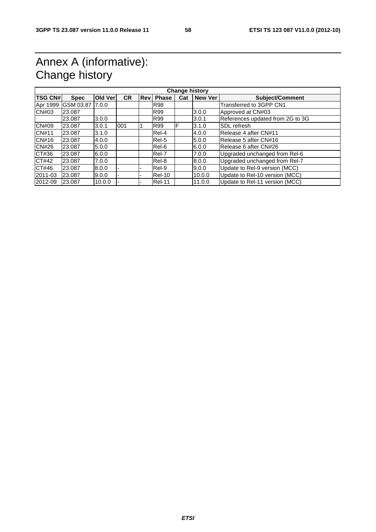## Annex A (informative): Change history

| <b>Change history</b> |                 |                |           |            |               |     |                |                                  |
|-----------------------|-----------------|----------------|-----------|------------|---------------|-----|----------------|----------------------------------|
| <b>TSG CN#I</b>       | <b>Spec</b>     | <b>Old Ver</b> | <b>CR</b> | <b>Rev</b> | <b>Phase</b>  | Cat | <b>New Ver</b> | <b>Subject/Comment</b>           |
| Apr 1999              | GSM 03.87 7.0.0 |                |           |            | <b>R98</b>    |     |                | Transferred to 3GPP CN1          |
| CN#03                 | 23.087          |                |           |            | <b>R99</b>    |     | 3.0.0          | Approved at CN#03                |
|                       | 23.087          | 3.0.0          |           |            | R99           |     | 3.0.1          | References updated from 2G to 3G |
| CN#09                 | 23.087          | 3.0.1          | 001       |            | <b>R99</b>    | F   | 3.1.0          | <b>SDL</b> refresh               |
| <b>CN#11</b>          | 23.087          | 3.1.0          |           |            | Rel-4         |     | 4.0.0          | Release 4 after CN#11            |
| <b>CN#16</b>          | 23.087          | 4.0.0          |           |            | Rel-5         |     | 5.0.0          | Release 5 after CN#16            |
| <b>CN#26</b>          | 23.087          | 5.0.0          |           |            | Rel-6         |     | 6.0.0          | Release 6 after CN#26            |
| CT#36                 | 23.087          | 6.0.0          |           |            | Rel-7         |     | 7.0.0          | Upgraded unchanged from Rel-6    |
| CT#42                 | 23.087          | 7.0.0          |           |            | Rel-8         |     | 8.0.0          | Upgraded unchanged from Rel-7    |
| CT#46                 | 23.087          | 8.0.0          |           |            | Rel-9         |     | 9.0.0          | Update to Rel-9 version (MCC)    |
| 2011-03               | 23.087          | 9.0.0          |           |            | <b>Rel-10</b> |     | 10.0.0         | Update to Rel-10 version (MCC)   |
| 2012-09               | 23.087          | 10.0.0         |           |            | Rel-11        |     | 11.0.0         | Update to Rel-11 version (MCC)   |